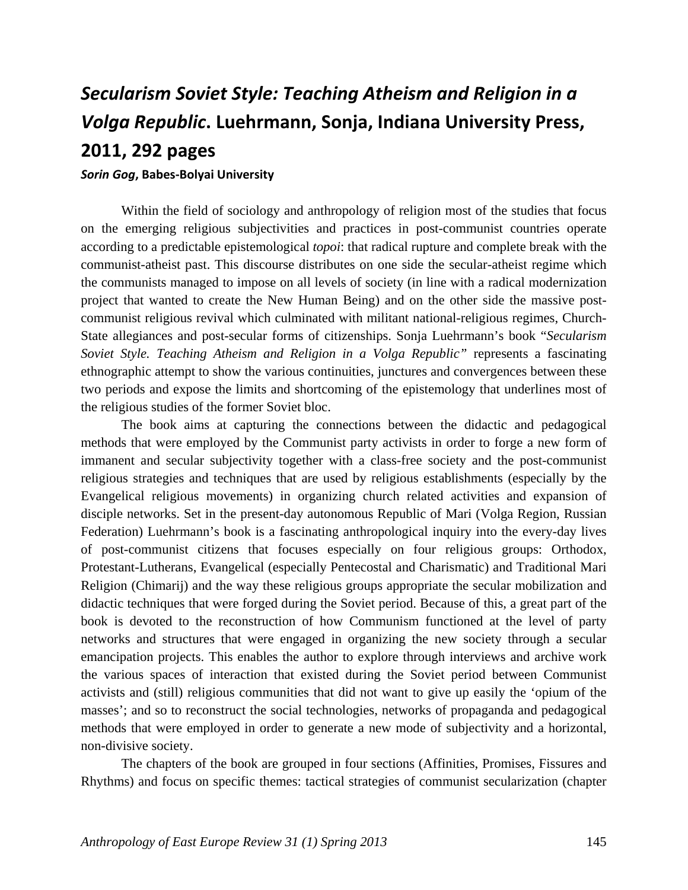## *Secularism Soviet Style: Teaching Atheism and Religion in a Volga Republic***. Luehrmann, Sonja, Indiana University Press, 2011, 292 pages**

## *Sorin Gog***, Babes‐Bolyai University**

Within the field of sociology and anthropology of religion most of the studies that focus on the emerging religious subjectivities and practices in post-communist countries operate according to a predictable epistemological *topoi*: that radical rupture and complete break with the communist-atheist past. This discourse distributes on one side the secular-atheist regime which the communists managed to impose on all levels of society (in line with a radical modernization project that wanted to create the New Human Being) and on the other side the massive postcommunist religious revival which culminated with militant national-religious regimes, Church-State allegiances and post-secular forms of citizenships. Sonja Luehrmann's book "*Secularism Soviet Style. Teaching Atheism and Religion in a Volga Republic"* represents a fascinating ethnographic attempt to show the various continuities, junctures and convergences between these two periods and expose the limits and shortcoming of the epistemology that underlines most of the religious studies of the former Soviet bloc.

The book aims at capturing the connections between the didactic and pedagogical methods that were employed by the Communist party activists in order to forge a new form of immanent and secular subjectivity together with a class-free society and the post-communist religious strategies and techniques that are used by religious establishments (especially by the Evangelical religious movements) in organizing church related activities and expansion of disciple networks. Set in the present-day autonomous Republic of Mari (Volga Region, Russian Federation) Luehrmann's book is a fascinating anthropological inquiry into the every-day lives of post-communist citizens that focuses especially on four religious groups: Orthodox, Protestant-Lutherans, Evangelical (especially Pentecostal and Charismatic) and Traditional Mari Religion (Chimarij) and the way these religious groups appropriate the secular mobilization and didactic techniques that were forged during the Soviet period. Because of this, a great part of the book is devoted to the reconstruction of how Communism functioned at the level of party networks and structures that were engaged in organizing the new society through a secular emancipation projects. This enables the author to explore through interviews and archive work the various spaces of interaction that existed during the Soviet period between Communist activists and (still) religious communities that did not want to give up easily the 'opium of the masses'; and so to reconstruct the social technologies, networks of propaganda and pedagogical methods that were employed in order to generate a new mode of subjectivity and a horizontal, non-divisive society.

The chapters of the book are grouped in four sections (Affinities, Promises, Fissures and Rhythms) and focus on specific themes: tactical strategies of communist secularization (chapter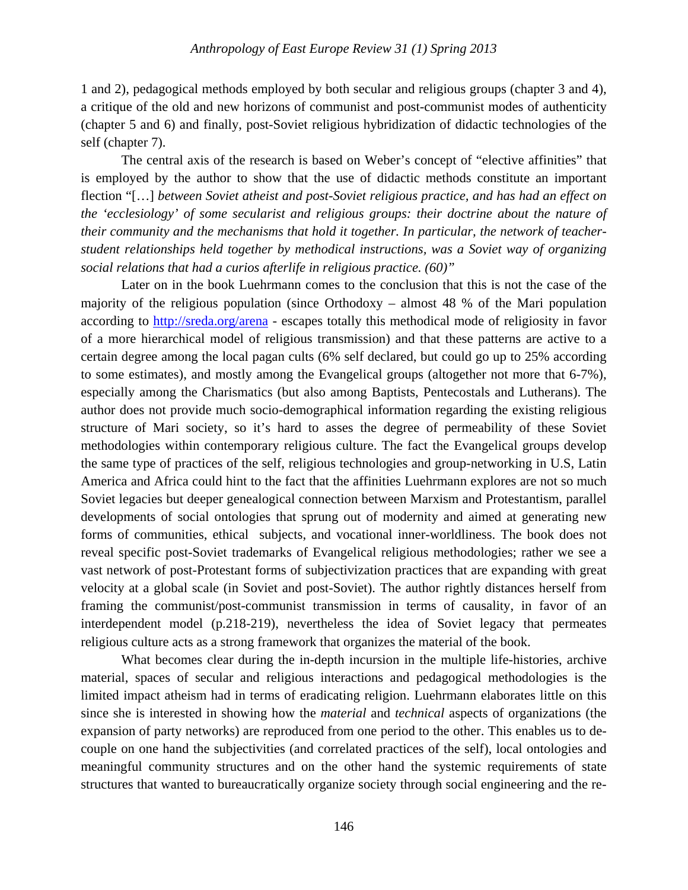1 and 2), pedagogical methods employed by both secular and religious groups (chapter 3 and 4), a critique of the old and new horizons of communist and post-communist modes of authenticity (chapter 5 and 6) and finally, post-Soviet religious hybridization of didactic technologies of the self (chapter 7).

The central axis of the research is based on Weber's concept of "elective affinities" that is employed by the author to show that the use of didactic methods constitute an important flection "[…] *between Soviet atheist and post-Soviet religious practice, and has had an effect on the 'ecclesiology' of some secularist and religious groups: their doctrine about the nature of their community and the mechanisms that hold it together. In particular, the network of teacherstudent relationships held together by methodical instructions, was a Soviet way of organizing social relations that had a curios afterlife in religious practice. (60)"*

Later on in the book Luehrmann comes to the conclusion that this is not the case of the majority of the religious population (since Orthodoxy – almost 48 % of the Mari population according to http://sreda.org/arena - escapes totally this methodical mode of religiosity in favor of a more hierarchical model of religious transmission) and that these patterns are active to a certain degree among the local pagan cults (6% self declared, but could go up to 25% according to some estimates), and mostly among the Evangelical groups (altogether not more that 6-7%), especially among the Charismatics (but also among Baptists, Pentecostals and Lutherans). The author does not provide much socio-demographical information regarding the existing religious structure of Mari society, so it's hard to asses the degree of permeability of these Soviet methodologies within contemporary religious culture. The fact the Evangelical groups develop the same type of practices of the self, religious technologies and group-networking in U.S, Latin America and Africa could hint to the fact that the affinities Luehrmann explores are not so much Soviet legacies but deeper genealogical connection between Marxism and Protestantism, parallel developments of social ontologies that sprung out of modernity and aimed at generating new forms of communities, ethical subjects, and vocational inner-worldliness. The book does not reveal specific post-Soviet trademarks of Evangelical religious methodologies; rather we see a vast network of post-Protestant forms of subjectivization practices that are expanding with great velocity at a global scale (in Soviet and post-Soviet). The author rightly distances herself from framing the communist/post-communist transmission in terms of causality, in favor of an interdependent model (p.218-219), nevertheless the idea of Soviet legacy that permeates religious culture acts as a strong framework that organizes the material of the book.

What becomes clear during the in-depth incursion in the multiple life-histories, archive material, spaces of secular and religious interactions and pedagogical methodologies is the limited impact atheism had in terms of eradicating religion. Luehrmann elaborates little on this since she is interested in showing how the *material* and *technical* aspects of organizations (the expansion of party networks) are reproduced from one period to the other. This enables us to decouple on one hand the subjectivities (and correlated practices of the self), local ontologies and meaningful community structures and on the other hand the systemic requirements of state structures that wanted to bureaucratically organize society through social engineering and the re-